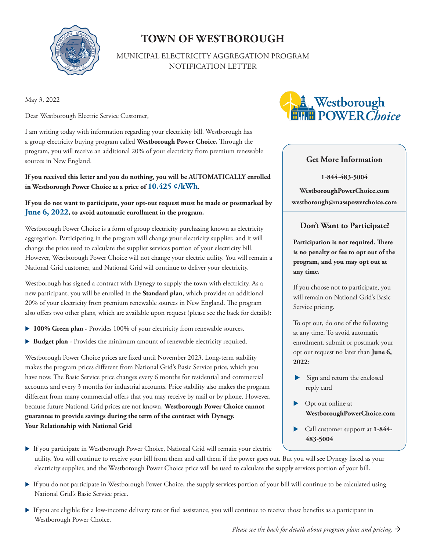

# **TOWN OF WESTBOROUGH**

MUNICIPAL ELECTRICITY AGGREGATION PROGRAM NOTIFICATION LETTER

May 3, 2022

Dear Westborough Electric Service Customer,

I am writing today with information regarding your electricity bill. Westborough has a group electricity buying program called **Westborough Power Choice.** Through the program, you will receive an additional 20% of your electricity from premium renewable sources in New England.

**If you received this letter and you do nothing, you will be AUTOMATICALLY enrolled in Westborough Power Choice at a price of 10.425 ¢/kWh.**

#### **If you do not want to participate, your opt-out request must be made or postmarked by June 6, 2022, to avoid automatic enrollment in the program.**

Westborough Power Choice is a form of group electricity purchasing known as electricity aggregation. Participating in the program will change your electricity supplier, and it will change the price used to calculate the supplier services portion of your electricity bill. However, Westborough Power Choice will not change your electric utility. You will remain a National Grid customer, and National Grid will continue to deliver your electricity.

Westborough has signed a contract with Dynegy to supply the town with electricity. As a new participant, you will be enrolled in the **Standard plan**, which provides an additional 20% of your electricity from premium renewable sources in New England. The program also offers two other plans, which are available upon request (please see the back for details):

- **100% Green plan -** Provides 100% of your electricity from renewable sources.
- **Budget plan -** Provides the minimum amount of renewable electricity required.

Westborough Power Choice prices are fixed until November 2023. Long-term stability makes the program prices different from National Grid's Basic Service price, which you have now. The Basic Service price changes every 6 months for residential and commercial accounts and every 3 months for industrial accounts. Price stability also makes the program different from many commercial offers that you may receive by mail or by phone. However, because future National Grid prices are not known, **Westborough Power Choice cannot guarantee to provide savings during the term of the contract with Dynegy. Your Relationship with National Grid**



#### **Get More Information**

**1-844-483-5004 WestboroughPowerChoice.com westborough@masspowerchoice.com**

### **Don't Want to Participate?**

**Participation is not required. There is no penalty or fee to opt out of the program, and you may opt out at any time.**

If you choose not to participate, you will remain on National Grid's Basic Service pricing.

To opt out, do one of the following at any time. To avoid automatic enrollment, submit or postmark your opt out request no later than **June 6, 2022**:

- Sign and return the enclosed reply card
- ▶ Opt out online at **WestboroughPowerChoice.com**
- Call customer support at **1-844- 483-5004**
- If you participate in Westborough Power Choice, National Grid will remain your electric utility. You will continue to receive your bill from them and call them if the power goes out. But you will see Dynegy listed as your electricity supplier, and the Westborough Power Choice price will be used to calculate the supply services portion of your bill.
- If you do not participate in Westborough Power Choice, the supply services portion of your bill will continue to be calculated using National Grid's Basic Service price.
- If you are eligible for a low-income delivery rate or fuel assistance, you will continue to receive those benefits as a participant in Westborough Power Choice.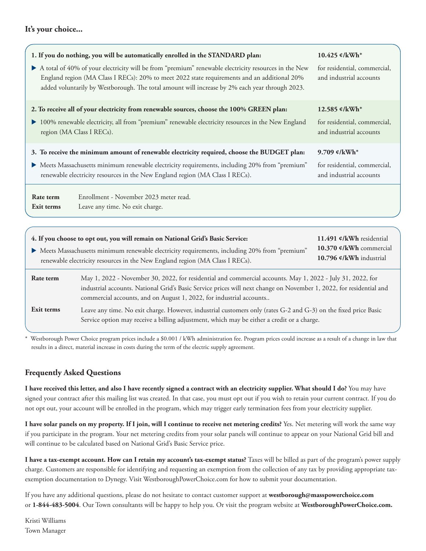#### **It's your choice...**



\* Westborough Power Choice program prices include a \$0.001 / kWh administration fee. Program prices could increase as a result of a change in law that results in a direct, material increase in costs during the term of the electric supply agreement.

## **Frequently Asked Questions**

**I have received this letter, and also I have recently signed a contract with an electricity supplier. What should I do?** You may have signed your contract after this mailing list was created. In that case, you must opt out if you wish to retain your current contract. If you do not opt out, your account will be enrolled in the program, which may trigger early termination fees from your electricity supplier.

**I have solar panels on my property. If I join, will I continue to receive net metering credits?** Yes. Net metering will work the same way if you participate in the program. Your net metering credits from your solar panels will continue to appear on your National Grid bill and will continue to be calculated based on National Grid's Basic Service price.

**I have a tax-exempt account. How can I retain my account's tax-exempt status?** Taxes will be billed as part of the program's power supply charge. Customers are responsible for identifying and requesting an exemption from the collection of any tax by providing appropriate taxexemption documentation to Dynegy. Visit WestboroughPowerChoice.com for how to submit your documentation.

If you have any additional questions, please do not hesitate to contact customer support at **westborough@masspowerchoice.com**  or **1-844-483-5004**. Our Town consultants will be happy to help you. Or visit the program website at **WestboroughPowerChoice.com.**

Kristi Williams Town Manager